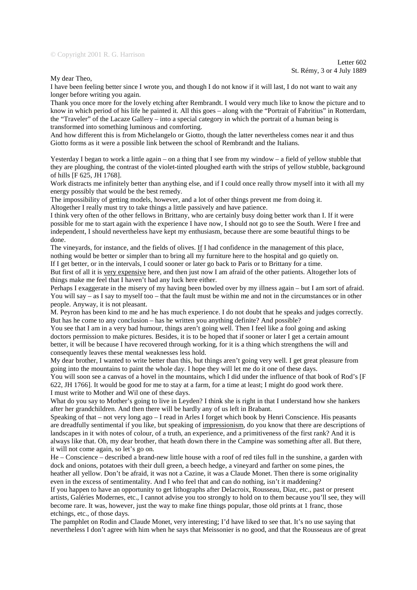## © Copyright 2001 R. G. Harrison

My dear Theo,

I have been feeling better since I wrote you, and though I do not know if it will last, I do not want to wait any longer before writing you again.

Thank you once more for the lovely etching after Rembrandt. I would very much like to know the picture and to know in which period of his life he painted it. All this goes – along with the "Portrait of Fabritius" in Rotterdam, the "Traveler" of the Lacaze Gallery – into a special category in which the portrait of a human being is transformed into something luminous and comforting.

And how different this is from Michelangelo or Giotto, though the latter nevertheless comes near it and thus Giotto forms as it were a possible link between the school of Rembrandt and the Italians.

Yesterday I began to work a little again – on a thing that I see from my window – a field of yellow stubble that they are ploughing, the contrast of the violet-tinted ploughed earth with the strips of yellow stubble, background of hills [F 625, JH 1768].

Work distracts me infinitely better than anything else, and if I could once really throw myself into it with all my energy possibly that would be the best remedy.

The impossibility of getting models, however, and a lot of other things prevent me from doing it.

Altogether I really must try to take things a little passively and have patience.

I think very often of the other fellows in Brittany, who are certainly busy doing better work than I. If it were possible for me to start again with the experience I have now, I should not go to see the South. Were I free and independent, I should nevertheless have kept my enthusiasm, because there are some beautiful things to be done.

The vineyards, for instance, and the fields of olives. If I had confidence in the management of this place, nothing would be better or simpler than to bring all my furniture here to the hospital and go quietly on.

If I get better, or in the intervals, I could sooner or later go back to Paris or to Brittany for a time.

But first of all it is very expensive here, and then just now I am afraid of the other patients. Altogether lots of things make me feel that I haven't had any luck here either.

Perhaps I exaggerate in the misery of my having been bowled over by my illness again – but I am sort of afraid. You will say – as I say to myself too – that the fault must be within me and not in the circumstances or in other people. Anyway, it is not pleasant.

M. Peyron has been kind to me and he has much experience. I do not doubt that he speaks and judges correctly. But has he come to any conclusion – has he written you anything definite? And possible?

You see that I am in a very bad humour, things aren't going well. Then I feel like a fool going and asking doctors permission to make pictures. Besides, it is to be hoped that if sooner or later I get a certain amount better, it will be because I have recovered through working, for it is a thing which strengthens the will and consequently leaves these mental weaknesses less hold.

My dear brother, I wanted to write better than this, but things aren't going very well. I get great pleasure from going into the mountains to paint the whole day. I hope they will let me do it one of these days.

You will soon see a canvas of a hovel in the mountains, which I did under the influence of that book of Rod's [F 622, JH 1766]. It would be good for me to stay at a farm, for a time at least; I might do good work there. I must write to Mother and Wil one of these days.

What do you say to Mother's going to live in Leyden? I think she is right in that I understand how she hankers after her grandchildren. And then there will be hardly any of us left in Brabant.

Speaking of that – not very long ago – I read in Arles I forget which book by Henri Conscience. His peasants are dreadfully sentimental if you like, but speaking of impressionism, do you know that there are descriptions of landscapes in it with notes of colour, of a truth, an experience, and a primitiveness of the first rank? And it is always like that. Oh, my dear brother, that heath down there in the Campine was something after all. But there, it will not come again, so let's go on.

He – Conscience – described a brand-new little house with a roof of red tiles full in the sunshine, a garden with dock and onions, potatoes with their dull green, a beech hedge, a vineyard and farther on some pines, the heather all yellow. Don't be afraid, it was not a Cazine, it was a Claude Monet. Then there is some originality even in the excess of sentimentality. And I who feel that and can do nothing, isn't it maddening?

If you happen to have an opportunity to get lithographs after Delacroix, Rousseau, Diaz, etc., past or present artists, Galéries Modernes, etc., I cannot advise you too strongly to hold on to them because you'll see, they will become rare. It was, however, just the way to make fine things popular, those old prints at 1 franc, those etchings, etc., of those days.

The pamphlet on Rodin and Claude Monet, very interesting; I'd have liked to see that. It's no use saying that nevertheless I don't agree with him when he says that Meissonier is no good, and that the Rousseaus are of great